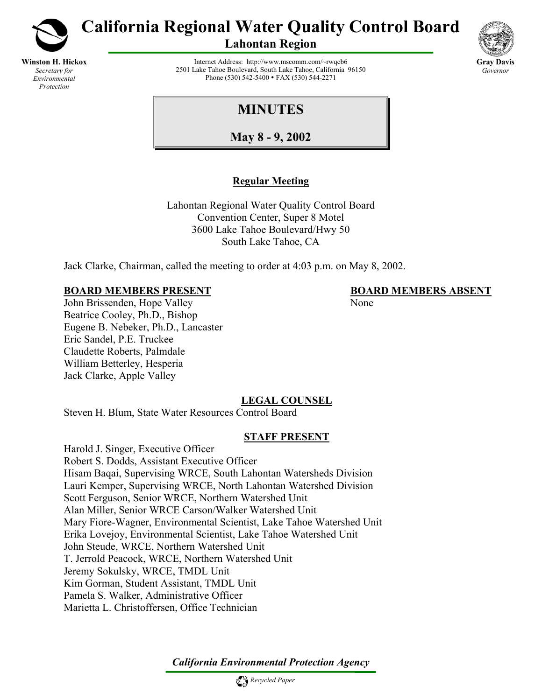

**Winston H. Hickox** *Secretary for Environmental Protection*

**California Regional Water Quality Control Board** 

**Lahontan Region** 



Internet Address: http://www.mscomm.com/~rwqcb6 2501 Lake Tahoe Boulevard, South Lake Tahoe, California 96150 Phone (530) 542-5400 • FAX (530) 544-2271

# **MINUTES**

**May 8 - 9, 2002**

# **Regular Meeting**

Lahontan Regional Water Quality Control Board Convention Center, Super 8 Motel 3600 Lake Tahoe Boulevard/Hwy 50 South Lake Tahoe, CA

Jack Clarke, Chairman, called the meeting to order at 4:03 p.m. on May 8, 2002.

### **BOARD MEMBERS PRESENT BOARD MEMBERS ABSENT**

John Brissenden, Hope Valley None Beatrice Cooley, Ph.D., Bishop Eugene B. Nebeker, Ph.D., Lancaster Eric Sandel, P.E. Truckee Claudette Roberts, Palmdale William Betterley, Hesperia Jack Clarke, Apple Valley

# **LEGAL COUNSEL**

Steven H. Blum, State Water Resources Control Board

# **STAFF PRESENT**

Harold J. Singer, Executive Officer Robert S. Dodds, Assistant Executive Officer Hisam Baqai, Supervising WRCE, South Lahontan Watersheds Division Lauri Kemper, Supervising WRCE, North Lahontan Watershed Division Scott Ferguson, Senior WRCE, Northern Watershed Unit Alan Miller, Senior WRCE Carson/Walker Watershed Unit Mary Fiore-Wagner, Environmental Scientist, Lake Tahoe Watershed Unit Erika Lovejoy, Environmental Scientist, Lake Tahoe Watershed Unit John Steude, WRCE, Northern Watershed Unit T. Jerrold Peacock, WRCE, Northern Watershed Unit Jeremy Sokulsky, WRCE, TMDL Unit Kim Gorman, Student Assistant, TMDL Unit Pamela S. Walker, Administrative Officer Marietta L. Christoffersen, Office Technician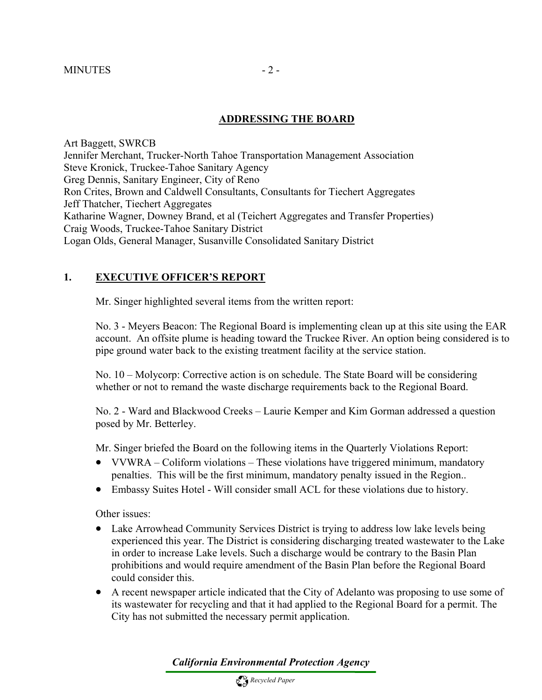#### **ADDRESSING THE BOARD**

Art Baggett, SWRCB Jennifer Merchant, Trucker-North Tahoe Transportation Management Association Steve Kronick, Truckee-Tahoe Sanitary Agency Greg Dennis, Sanitary Engineer, City of Reno Ron Crites, Brown and Caldwell Consultants, Consultants for Tiechert Aggregates Jeff Thatcher, Tiechert Aggregates Katharine Wagner, Downey Brand, et al (Teichert Aggregates and Transfer Properties) Craig Woods, Truckee-Tahoe Sanitary District Logan Olds, General Manager, Susanville Consolidated Sanitary District

### **1. EXECUTIVE OFFICER'S REPORT**

Mr. Singer highlighted several items from the written report:

No. 3 - Meyers Beacon: The Regional Board is implementing clean up at this site using the EAR account. An offsite plume is heading toward the Truckee River. An option being considered is to pipe ground water back to the existing treatment facility at the service station.

No. 10 – Molycorp: Corrective action is on schedule. The State Board will be considering whether or not to remand the waste discharge requirements back to the Regional Board.

No. 2 - Ward and Blackwood Creeks – Laurie Kemper and Kim Gorman addressed a question posed by Mr. Betterley.

Mr. Singer briefed the Board on the following items in the Quarterly Violations Report:

- VVWRA Coliform violations These violations have triggered minimum, mandatory penalties. This will be the first minimum, mandatory penalty issued in the Region..
- Embassy Suites Hotel Will consider small ACL for these violations due to history.

Other issues:

- Lake Arrowhead Community Services District is trying to address low lake levels being experienced this year. The District is considering discharging treated wastewater to the Lake in order to increase Lake levels. Such a discharge would be contrary to the Basin Plan prohibitions and would require amendment of the Basin Plan before the Regional Board could consider this.
- A recent newspaper article indicated that the City of Adelanto was proposing to use some of its wastewater for recycling and that it had applied to the Regional Board for a permit. The City has not submitted the necessary permit application.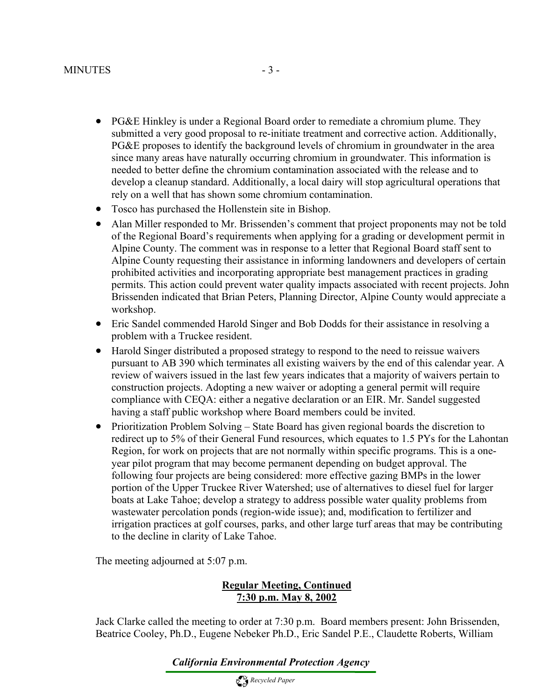- PG&E Hinkley is under a Regional Board order to remediate a chromium plume. They submitted a very good proposal to re-initiate treatment and corrective action. Additionally, PG&E proposes to identify the background levels of chromium in groundwater in the area since many areas have naturally occurring chromium in groundwater. This information is needed to better define the chromium contamination associated with the release and to develop a cleanup standard. Additionally, a local dairy will stop agricultural operations that rely on a well that has shown some chromium contamination.
- Tosco has purchased the Hollenstein site in Bishop.
- Alan Miller responded to Mr. Brissenden's comment that project proponents may not be told of the Regional Board's requirements when applying for a grading or development permit in Alpine County. The comment was in response to a letter that Regional Board staff sent to Alpine County requesting their assistance in informing landowners and developers of certain prohibited activities and incorporating appropriate best management practices in grading permits. This action could prevent water quality impacts associated with recent projects. John Brissenden indicated that Brian Peters, Planning Director, Alpine County would appreciate a workshop.
- Eric Sandel commended Harold Singer and Bob Dodds for their assistance in resolving a problem with a Truckee resident.
- Harold Singer distributed a proposed strategy to respond to the need to reissue waivers pursuant to AB 390 which terminates all existing waivers by the end of this calendar year. A review of waivers issued in the last few years indicates that a majority of waivers pertain to construction projects. Adopting a new waiver or adopting a general permit will require compliance with CEQA: either a negative declaration or an EIR. Mr. Sandel suggested having a staff public workshop where Board members could be invited.
- Prioritization Problem Solving State Board has given regional boards the discretion to redirect up to 5% of their General Fund resources, which equates to 1.5 PYs for the Lahontan Region, for work on projects that are not normally within specific programs. This is a oneyear pilot program that may become permanent depending on budget approval. The following four projects are being considered: more effective gazing BMPs in the lower portion of the Upper Truckee River Watershed; use of alternatives to diesel fuel for larger boats at Lake Tahoe; develop a strategy to address possible water quality problems from wastewater percolation ponds (region-wide issue); and, modification to fertilizer and irrigation practices at golf courses, parks, and other large turf areas that may be contributing to the decline in clarity of Lake Tahoe.

The meeting adjourned at 5:07 p.m.

#### **Regular Meeting, Continued 7:30 p.m. May 8, 2002**

Jack Clarke called the meeting to order at 7:30 p.m. Board members present: John Brissenden, Beatrice Cooley, Ph.D., Eugene Nebeker Ph.D., Eric Sandel P.E., Claudette Roberts, William

*California Environmental Protection Agency*

 *Recycled Paper*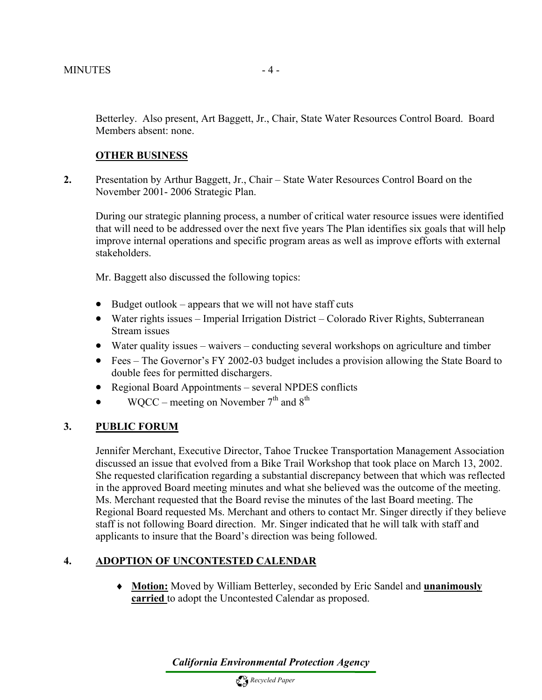Betterley. Also present, Art Baggett, Jr., Chair, State Water Resources Control Board. Board Members absent: none.

#### **OTHER BUSINESS**

**2.** Presentation by Arthur Baggett, Jr., Chair – State Water Resources Control Board on the November 2001- 2006 Strategic Plan.

During our strategic planning process, a number of critical water resource issues were identified that will need to be addressed over the next five years The Plan identifies six goals that will help improve internal operations and specific program areas as well as improve efforts with external stakeholders.

Mr. Baggett also discussed the following topics:

- Budget outlook appears that we will not have staff cuts
- Water rights issues Imperial Irrigation District Colorado River Rights, Subterranean Stream issues
- Water quality issues waivers conducting several workshops on agriculture and timber
- Fees The Governor's FY 2002-03 budget includes a provision allowing the State Board to double fees for permitted dischargers.
- Regional Board Appointments several NPDES conflicts
- WQCC meeting on November  $7<sup>th</sup>$  and  $8<sup>th</sup>$

#### **3. PUBLIC FORUM**

Jennifer Merchant, Executive Director, Tahoe Truckee Transportation Management Association discussed an issue that evolved from a Bike Trail Workshop that took place on March 13, 2002. She requested clarification regarding a substantial discrepancy between that which was reflected in the approved Board meeting minutes and what she believed was the outcome of the meeting. Ms. Merchant requested that the Board revise the minutes of the last Board meeting. The Regional Board requested Ms. Merchant and others to contact Mr. Singer directly if they believe staff is not following Board direction. Mr. Singer indicated that he will talk with staff and applicants to insure that the Board's direction was being followed.

#### **4. ADOPTION OF UNCONTESTED CALENDAR**

♦ **Motion:** Moved by William Betterley, seconded by Eric Sandel and **unanimously carried** to adopt the Uncontested Calendar as proposed.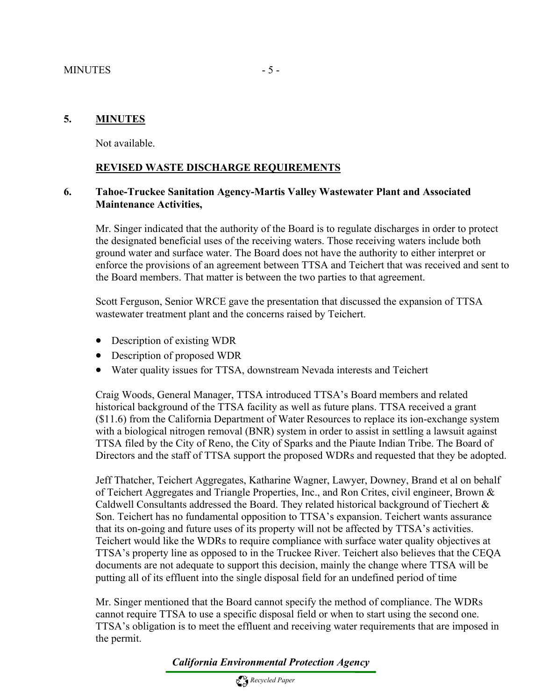#### **5. MINUTES**

Not available.

#### **REVISED WASTE DISCHARGE REQUIREMENTS**

#### **6. Tahoe-Truckee Sanitation Agency-Martis Valley Wastewater Plant and Associated Maintenance Activities,**

Mr. Singer indicated that the authority of the Board is to regulate discharges in order to protect the designated beneficial uses of the receiving waters. Those receiving waters include both ground water and surface water. The Board does not have the authority to either interpret or enforce the provisions of an agreement between TTSA and Teichert that was received and sent to the Board members. That matter is between the two parties to that agreement.

Scott Ferguson, Senior WRCE gave the presentation that discussed the expansion of TTSA wastewater treatment plant and the concerns raised by Teichert.

- Description of existing WDR
- Description of proposed WDR
- Water quality issues for TTSA, downstream Nevada interests and Teichert

Craig Woods, General Manager, TTSA introduced TTSA's Board members and related historical background of the TTSA facility as well as future plans. TTSA received a grant (\$11.6) from the California Department of Water Resources to replace its ion-exchange system with a biological nitrogen removal (BNR) system in order to assist in settling a lawsuit against TTSA filed by the City of Reno, the City of Sparks and the Piaute Indian Tribe. The Board of Directors and the staff of TTSA support the proposed WDRs and requested that they be adopted.

Jeff Thatcher, Teichert Aggregates, Katharine Wagner, Lawyer, Downey, Brand et al on behalf of Teichert Aggregates and Triangle Properties, Inc., and Ron Crites, civil engineer, Brown & Caldwell Consultants addressed the Board. They related historical background of Tiechert & Son. Teichert has no fundamental opposition to TTSA's expansion. Teichert wants assurance that its on-going and future uses of its property will not be affected by TTSA's activities. Teichert would like the WDRs to require compliance with surface water quality objectives at TTSA's property line as opposed to in the Truckee River. Teichert also believes that the CEQA documents are not adequate to support this decision, mainly the change where TTSA will be putting all of its effluent into the single disposal field for an undefined period of time

Mr. Singer mentioned that the Board cannot specify the method of compliance. The WDRs cannot require TTSA to use a specific disposal field or when to start using the second one. TTSA's obligation is to meet the effluent and receiving water requirements that are imposed in the permit.

*California Environmental Protection Agency*

 *Recycled Paper*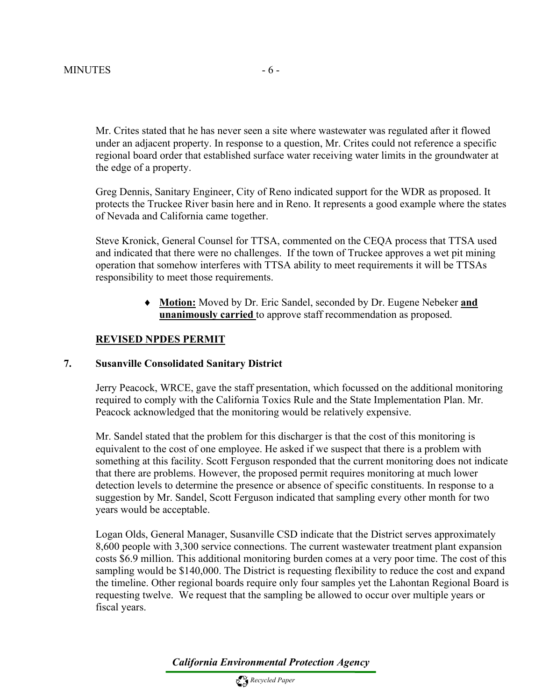Mr. Crites stated that he has never seen a site where wastewater was regulated after it flowed under an adjacent property. In response to a question, Mr. Crites could not reference a specific regional board order that established surface water receiving water limits in the groundwater at the edge of a property.

Greg Dennis, Sanitary Engineer, City of Reno indicated support for the WDR as proposed. It protects the Truckee River basin here and in Reno. It represents a good example where the states of Nevada and California came together.

Steve Kronick, General Counsel for TTSA, commented on the CEQA process that TTSA used and indicated that there were no challenges. If the town of Truckee approves a wet pit mining operation that somehow interferes with TTSA ability to meet requirements it will be TTSAs responsibility to meet those requirements.

> ♦ **Motion:** Moved by Dr. Eric Sandel, seconded by Dr. Eugene Nebeker **and unanimously carried** to approve staff recommendation as proposed.

#### **REVISED NPDES PERMIT**

#### **7. Susanville Consolidated Sanitary District**

Jerry Peacock, WRCE, gave the staff presentation, which focussed on the additional monitoring required to comply with the California Toxics Rule and the State Implementation Plan. Mr. Peacock acknowledged that the monitoring would be relatively expensive.

Mr. Sandel stated that the problem for this discharger is that the cost of this monitoring is equivalent to the cost of one employee. He asked if we suspect that there is a problem with something at this facility. Scott Ferguson responded that the current monitoring does not indicate that there are problems. However, the proposed permit requires monitoring at much lower detection levels to determine the presence or absence of specific constituents. In response to a suggestion by Mr. Sandel, Scott Ferguson indicated that sampling every other month for two years would be acceptable.

Logan Olds, General Manager, Susanville CSD indicate that the District serves approximately 8,600 people with 3,300 service connections. The current wastewater treatment plant expansion costs \$6.9 million. This additional monitoring burden comes at a very poor time. The cost of this sampling would be \$140,000. The District is requesting flexibility to reduce the cost and expand the timeline. Other regional boards require only four samples yet the Lahontan Regional Board is requesting twelve. We request that the sampling be allowed to occur over multiple years or fiscal years.